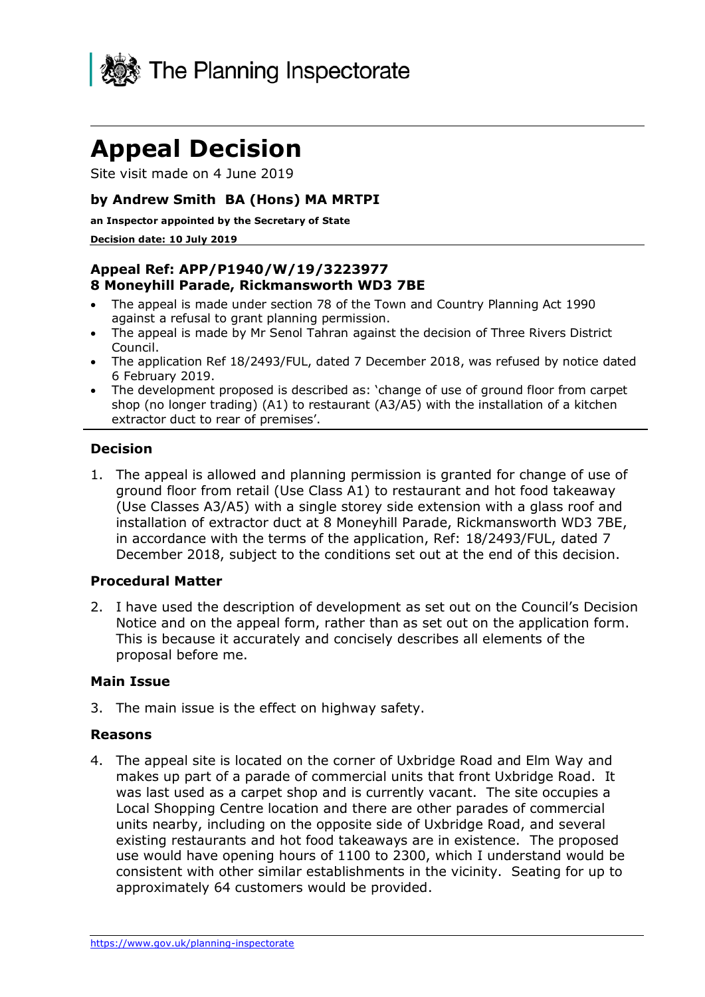

# **Appeal Decision**

Site visit made on 4 June 2019

#### **by Andrew Smith BA (Hons) MA MRTPI**

#### **an Inspector appointed by the Secretary of State**

#### **Decision date: 10 July 2019**

#### **Appeal Ref: APP/P1940/W/19/3223977 8 Moneyhill Parade, Rickmansworth WD3 7BE**

- The appeal is made under section 78 of the Town and Country Planning Act 1990 against a refusal to grant planning permission.
- The appeal is made by Mr Senol Tahran against the decision of Three Rivers District Council.
- The application Ref 18/2493/FUL, dated 7 December 2018, was refused by notice dated 6 February 2019.
- The development proposed is described as: 'change of use of ground floor from carpet shop (no longer trading) (A1) to restaurant (A3/A5) with the installation of a kitchen extractor duct to rear of premises'.

#### **Decision**

1. The appeal is allowed and planning permission is granted for change of use of ground floor from retail (Use Class A1) to restaurant and hot food takeaway (Use Classes A3/A5) with a single storey side extension with a glass roof and installation of extractor duct at 8 Moneyhill Parade, Rickmansworth WD3 7BE, in accordance with the terms of the application, Ref: 18/2493/FUL, dated 7 December 2018, subject to the conditions set out at the end of this decision.

#### **Procedural Matter**

2. I have used the description of development as set out on the Council's Decision Notice and on the appeal form, rather than as set out on the application form. This is because it accurately and concisely describes all elements of the proposal before me.

#### **Main Issue**

3. The main issue is the effect on highway safety.

#### **Reasons**

4. The appeal site is located on the corner of Uxbridge Road and Elm Way and makes up part of a parade of commercial units that front Uxbridge Road. It was last used as a carpet shop and is currently vacant. The site occupies a Local Shopping Centre location and there are other parades of commercial units nearby, including on the opposite side of Uxbridge Road, and several existing restaurants and hot food takeaways are in existence. The proposed use would have opening hours of 1100 to 2300, which I understand would be consistent with other similar establishments in the vicinity. Seating for up to approximately 64 customers would be provided.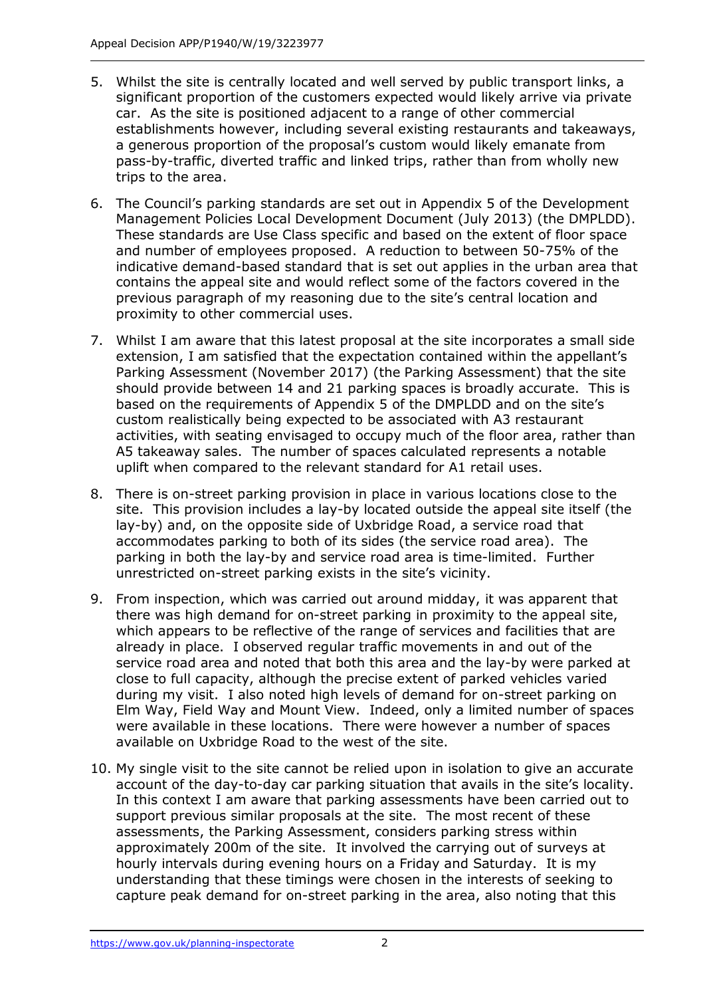- 5. Whilst the site is centrally located and well served by public transport links, a significant proportion of the customers expected would likely arrive via private car. As the site is positioned adjacent to a range of other commercial establishments however, including several existing restaurants and takeaways, a generous proportion of the proposal's custom would likely emanate from pass-by-traffic, diverted traffic and linked trips, rather than from wholly new trips to the area.
- 6. The Council's parking standards are set out in Appendix 5 of the Development Management Policies Local Development Document (July 2013) (the DMPLDD). These standards are Use Class specific and based on the extent of floor space and number of employees proposed. A reduction to between 50-75% of the indicative demand-based standard that is set out applies in the urban area that contains the appeal site and would reflect some of the factors covered in the previous paragraph of my reasoning due to the site's central location and proximity to other commercial uses.
- 7. Whilst I am aware that this latest proposal at the site incorporates a small side extension, I am satisfied that the expectation contained within the appellant's Parking Assessment (November 2017) (the Parking Assessment) that the site should provide between 14 and 21 parking spaces is broadly accurate. This is based on the requirements of Appendix 5 of the DMPLDD and on the site's custom realistically being expected to be associated with A3 restaurant activities, with seating envisaged to occupy much of the floor area, rather than A5 takeaway sales. The number of spaces calculated represents a notable uplift when compared to the relevant standard for A1 retail uses.
- 8. There is on-street parking provision in place in various locations close to the site. This provision includes a lay-by located outside the appeal site itself (the lay-by) and, on the opposite side of Uxbridge Road, a service road that accommodates parking to both of its sides (the service road area). The parking in both the lay-by and service road area is time-limited. Further unrestricted on-street parking exists in the site's vicinity.
- 9. From inspection, which was carried out around midday, it was apparent that there was high demand for on-street parking in proximity to the appeal site, which appears to be reflective of the range of services and facilities that are already in place. I observed regular traffic movements in and out of the service road area and noted that both this area and the lay-by were parked at close to full capacity, although the precise extent of parked vehicles varied during my visit. I also noted high levels of demand for on-street parking on Elm Way, Field Way and Mount View. Indeed, only a limited number of spaces were available in these locations. There were however a number of spaces available on Uxbridge Road to the west of the site.
- 10. My single visit to the site cannot be relied upon in isolation to give an accurate account of the day-to-day car parking situation that avails in the site's locality. In this context I am aware that parking assessments have been carried out to support previous similar proposals at the site. The most recent of these assessments, the Parking Assessment, considers parking stress within approximately 200m of the site. It involved the carrying out of surveys at hourly intervals during evening hours on a Friday and Saturday. It is my understanding that these timings were chosen in the interests of seeking to capture peak demand for on-street parking in the area, also noting that this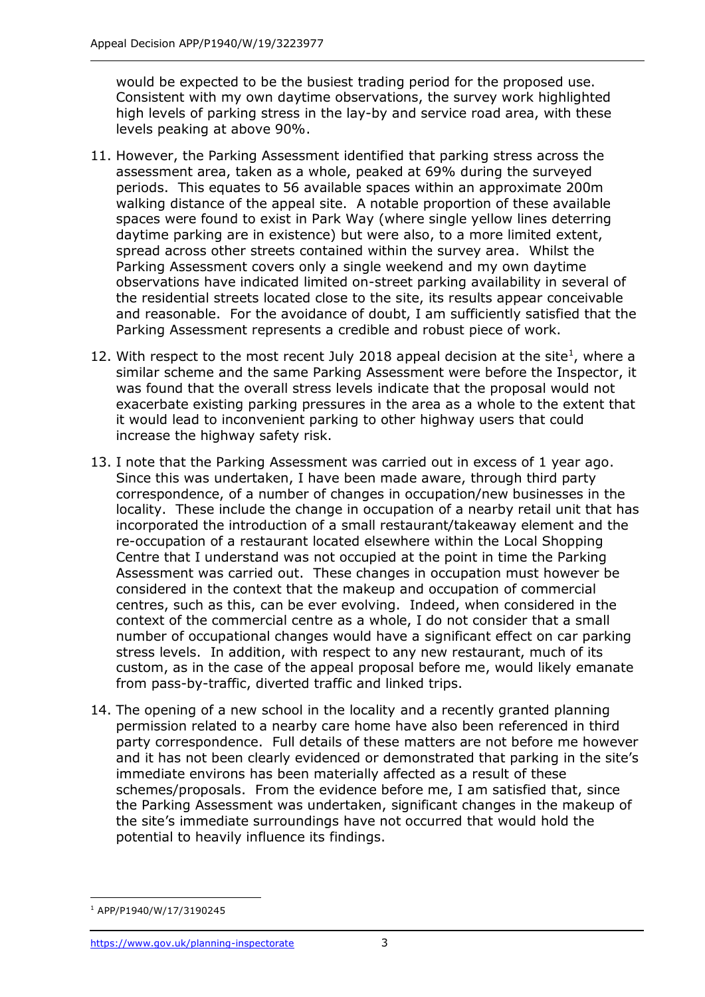would be expected to be the busiest trading period for the proposed use. Consistent with my own daytime observations, the survey work highlighted high levels of parking stress in the lay-by and service road area, with these levels peaking at above 90%.

- 11. However, the Parking Assessment identified that parking stress across the assessment area, taken as a whole, peaked at 69% during the surveyed periods. This equates to 56 available spaces within an approximate 200m walking distance of the appeal site. A notable proportion of these available spaces were found to exist in Park Way (where single yellow lines deterring daytime parking are in existence) but were also, to a more limited extent, spread across other streets contained within the survey area. Whilst the Parking Assessment covers only a single weekend and my own daytime observations have indicated limited on-street parking availability in several of the residential streets located close to the site, its results appear conceivable and reasonable. For the avoidance of doubt, I am sufficiently satisfied that the Parking Assessment represents a credible and robust piece of work.
- 12. With respect to the most recent July 2018 appeal decision at the site<sup>1</sup>, where a similar scheme and the same Parking Assessment were before the Inspector, it was found that the overall stress levels indicate that the proposal would not exacerbate existing parking pressures in the area as a whole to the extent that it would lead to inconvenient parking to other highway users that could increase the highway safety risk.
- 13. I note that the Parking Assessment was carried out in excess of 1 year ago. Since this was undertaken, I have been made aware, through third party correspondence, of a number of changes in occupation/new businesses in the locality. These include the change in occupation of a nearby retail unit that has incorporated the introduction of a small restaurant/takeaway element and the re-occupation of a restaurant located elsewhere within the Local Shopping Centre that I understand was not occupied at the point in time the Parking Assessment was carried out. These changes in occupation must however be considered in the context that the makeup and occupation of commercial centres, such as this, can be ever evolving. Indeed, when considered in the context of the commercial centre as a whole, I do not consider that a small number of occupational changes would have a significant effect on car parking stress levels. In addition, with respect to any new restaurant, much of its custom, as in the case of the appeal proposal before me, would likely emanate from pass-by-traffic, diverted traffic and linked trips.
- 14. The opening of a new school in the locality and a recently granted planning permission related to a nearby care home have also been referenced in third party correspondence. Full details of these matters are not before me however and it has not been clearly evidenced or demonstrated that parking in the site's immediate environs has been materially affected as a result of these schemes/proposals. From the evidence before me, I am satisfied that, since the Parking Assessment was undertaken, significant changes in the makeup of the site's immediate surroundings have not occurred that would hold the potential to heavily influence its findings.

j <sup>1</sup> APP/P1940/W/17/3190245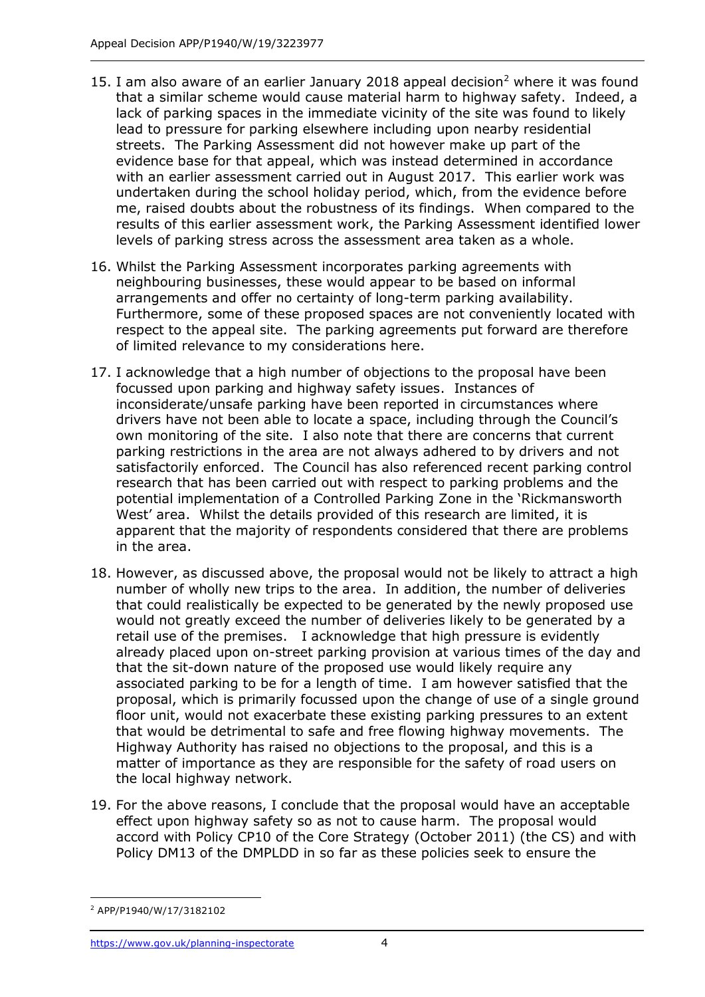- 15. I am also aware of an earlier January 2018 appeal decision<sup>2</sup> where it was found that a similar scheme would cause material harm to highway safety. Indeed, a lack of parking spaces in the immediate vicinity of the site was found to likely lead to pressure for parking elsewhere including upon nearby residential streets. The Parking Assessment did not however make up part of the evidence base for that appeal, which was instead determined in accordance with an earlier assessment carried out in August 2017. This earlier work was undertaken during the school holiday period, which, from the evidence before me, raised doubts about the robustness of its findings. When compared to the results of this earlier assessment work, the Parking Assessment identified lower levels of parking stress across the assessment area taken as a whole.
- 16. Whilst the Parking Assessment incorporates parking agreements with neighbouring businesses, these would appear to be based on informal arrangements and offer no certainty of long-term parking availability. Furthermore, some of these proposed spaces are not conveniently located with respect to the appeal site. The parking agreements put forward are therefore of limited relevance to my considerations here.
- 17. I acknowledge that a high number of objections to the proposal have been focussed upon parking and highway safety issues. Instances of inconsiderate/unsafe parking have been reported in circumstances where drivers have not been able to locate a space, including through the Council's own monitoring of the site. I also note that there are concerns that current parking restrictions in the area are not always adhered to by drivers and not satisfactorily enforced. The Council has also referenced recent parking control research that has been carried out with respect to parking problems and the potential implementation of a Controlled Parking Zone in the 'Rickmansworth West' area. Whilst the details provided of this research are limited, it is apparent that the majority of respondents considered that there are problems in the area.
- 18. However, as discussed above, the proposal would not be likely to attract a high number of wholly new trips to the area. In addition, the number of deliveries that could realistically be expected to be generated by the newly proposed use would not greatly exceed the number of deliveries likely to be generated by a retail use of the premises. I acknowledge that high pressure is evidently already placed upon on-street parking provision at various times of the day and that the sit-down nature of the proposed use would likely require any associated parking to be for a length of time. I am however satisfied that the proposal, which is primarily focussed upon the change of use of a single ground floor unit, would not exacerbate these existing parking pressures to an extent that would be detrimental to safe and free flowing highway movements. The Highway Authority has raised no objections to the proposal, and this is a matter of importance as they are responsible for the safety of road users on the local highway network.
- 19. For the above reasons, I conclude that the proposal would have an acceptable effect upon highway safety so as not to cause harm. The proposal would accord with Policy CP10 of the Core Strategy (October 2011) (the CS) and with Policy DM13 of the DMPLDD in so far as these policies seek to ensure the

j <sup>2</sup> APP/P1940/W/17/3182102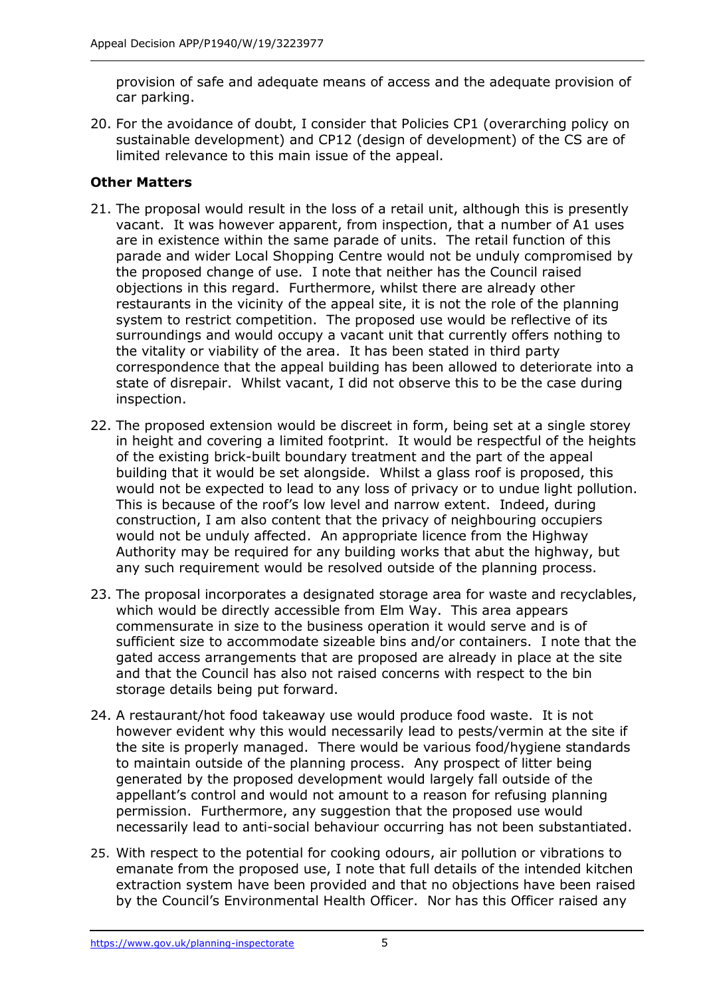provision of safe and adequate means of access and the adequate provision of car parking.

20. For the avoidance of doubt, I consider that Policies CP1 (overarching policy on sustainable development) and CP12 (design of development) of the CS are of limited relevance to this main issue of the appeal.

### **Other Matters**

- 21. The proposal would result in the loss of a retail unit, although this is presently vacant. It was however apparent, from inspection, that a number of A1 uses are in existence within the same parade of units. The retail function of this parade and wider Local Shopping Centre would not be unduly compromised by the proposed change of use. I note that neither has the Council raised objections in this regard. Furthermore, whilst there are already other restaurants in the vicinity of the appeal site, it is not the role of the planning system to restrict competition. The proposed use would be reflective of its surroundings and would occupy a vacant unit that currently offers nothing to the vitality or viability of the area. It has been stated in third party correspondence that the appeal building has been allowed to deteriorate into a state of disrepair. Whilst vacant, I did not observe this to be the case during inspection.
- 22. The proposed extension would be discreet in form, being set at a single storey in height and covering a limited footprint. It would be respectful of the heights of the existing brick-built boundary treatment and the part of the appeal building that it would be set alongside. Whilst a glass roof is proposed, this would not be expected to lead to any loss of privacy or to undue light pollution. This is because of the roof's low level and narrow extent. Indeed, during construction, I am also content that the privacy of neighbouring occupiers would not be unduly affected. An appropriate licence from the Highway Authority may be required for any building works that abut the highway, but any such requirement would be resolved outside of the planning process.
- 23. The proposal incorporates a designated storage area for waste and recyclables, which would be directly accessible from Elm Way. This area appears commensurate in size to the business operation it would serve and is of sufficient size to accommodate sizeable bins and/or containers. I note that the gated access arrangements that are proposed are already in place at the site and that the Council has also not raised concerns with respect to the bin storage details being put forward.
- 24. A restaurant/hot food takeaway use would produce food waste. It is not however evident why this would necessarily lead to pests/vermin at the site if the site is properly managed. There would be various food/hygiene standards to maintain outside of the planning process. Any prospect of litter being generated by the proposed development would largely fall outside of the appellant's control and would not amount to a reason for refusing planning permission. Furthermore, any suggestion that the proposed use would necessarily lead to anti-social behaviour occurring has not been substantiated.
- 25. With respect to the potential for cooking odours, air pollution or vibrations to emanate from the proposed use, I note that full details of the intended kitchen extraction system have been provided and that no objections have been raised by the Council's Environmental Health Officer. Nor has this Officer raised any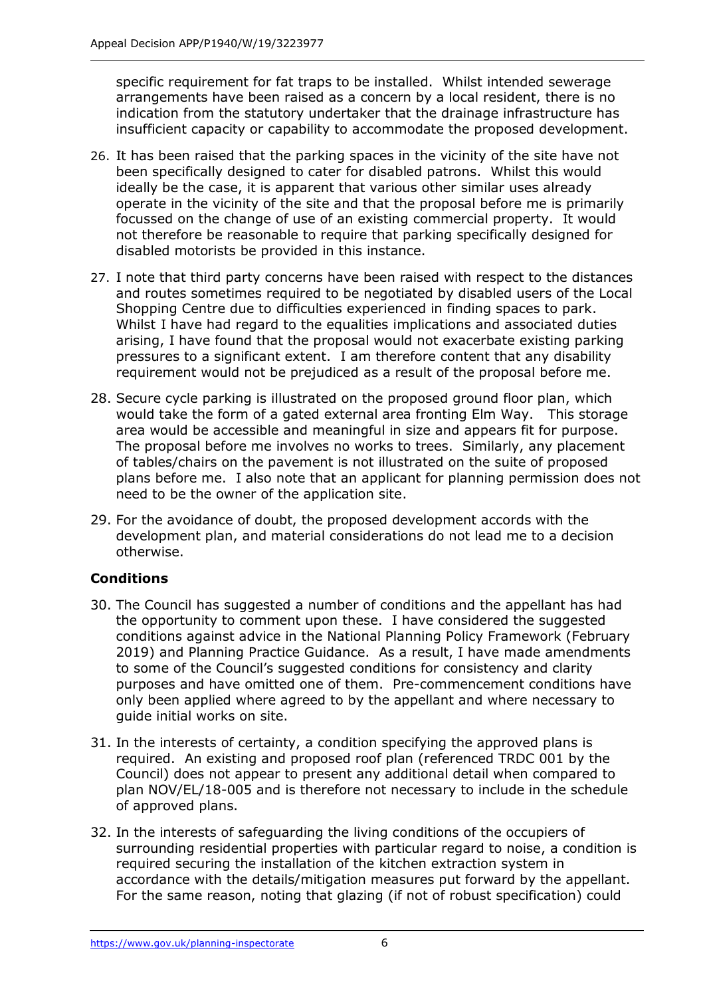specific requirement for fat traps to be installed. Whilst intended sewerage arrangements have been raised as a concern by a local resident, there is no indication from the statutory undertaker that the drainage infrastructure has insufficient capacity or capability to accommodate the proposed development.

- 26. It has been raised that the parking spaces in the vicinity of the site have not been specifically designed to cater for disabled patrons. Whilst this would ideally be the case, it is apparent that various other similar uses already operate in the vicinity of the site and that the proposal before me is primarily focussed on the change of use of an existing commercial property. It would not therefore be reasonable to require that parking specifically designed for disabled motorists be provided in this instance.
- 27. I note that third party concerns have been raised with respect to the distances and routes sometimes required to be negotiated by disabled users of the Local Shopping Centre due to difficulties experienced in finding spaces to park. Whilst I have had regard to the equalities implications and associated duties arising, I have found that the proposal would not exacerbate existing parking pressures to a significant extent. I am therefore content that any disability requirement would not be prejudiced as a result of the proposal before me.
- 28. Secure cycle parking is illustrated on the proposed ground floor plan, which would take the form of a gated external area fronting Elm Way. This storage area would be accessible and meaningful in size and appears fit for purpose. The proposal before me involves no works to trees. Similarly, any placement of tables/chairs on the pavement is not illustrated on the suite of proposed plans before me. I also note that an applicant for planning permission does not need to be the owner of the application site.
- 29. For the avoidance of doubt, the proposed development accords with the development plan, and material considerations do not lead me to a decision otherwise.

#### **Conditions**

- 30. The Council has suggested a number of conditions and the appellant has had the opportunity to comment upon these. I have considered the suggested conditions against advice in the National Planning Policy Framework (February 2019) and Planning Practice Guidance. As a result, I have made amendments to some of the Council's suggested conditions for consistency and clarity purposes and have omitted one of them. Pre-commencement conditions have only been applied where agreed to by the appellant and where necessary to guide initial works on site.
- 31. In the interests of certainty, a condition specifying the approved plans is required. An existing and proposed roof plan (referenced TRDC 001 by the Council) does not appear to present any additional detail when compared to plan NOV/EL/18-005 and is therefore not necessary to include in the schedule of approved plans.
- 32. In the interests of safeguarding the living conditions of the occupiers of surrounding residential properties with particular regard to noise, a condition is required securing the installation of the kitchen extraction system in accordance with the details/mitigation measures put forward by the appellant. For the same reason, noting that glazing (if not of robust specification) could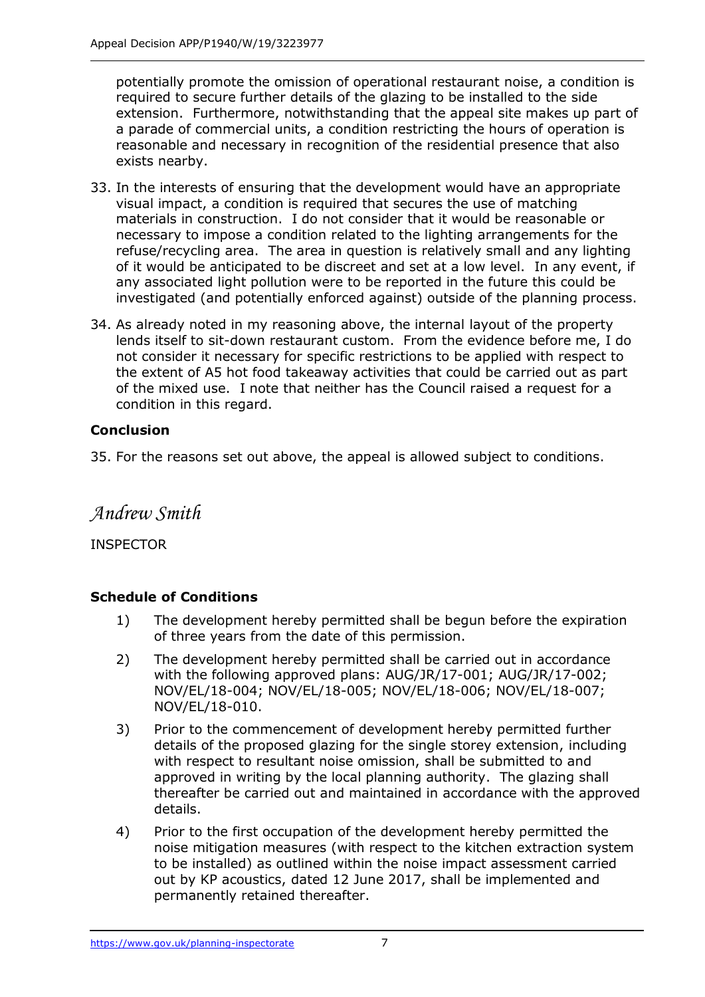potentially promote the omission of operational restaurant noise, a condition is required to secure further details of the glazing to be installed to the side extension. Furthermore, notwithstanding that the appeal site makes up part of a parade of commercial units, a condition restricting the hours of operation is reasonable and necessary in recognition of the residential presence that also exists nearby.

- 33. In the interests of ensuring that the development would have an appropriate visual impact, a condition is required that secures the use of matching materials in construction. I do not consider that it would be reasonable or necessary to impose a condition related to the lighting arrangements for the refuse/recycling area. The area in question is relatively small and any lighting of it would be anticipated to be discreet and set at a low level. In any event, if any associated light pollution were to be reported in the future this could be investigated (and potentially enforced against) outside of the planning process.
- 34. As already noted in my reasoning above, the internal layout of the property lends itself to sit-down restaurant custom. From the evidence before me, I do not consider it necessary for specific restrictions to be applied with respect to the extent of A5 hot food takeaway activities that could be carried out as part of the mixed use. I note that neither has the Council raised a request for a condition in this regard.

# **Conclusion**

35. For the reasons set out above, the appeal is allowed subject to conditions.

# *Andrew Smith*

INSPECTOR

# **Schedule of Conditions**

- 1) The development hereby permitted shall be begun before the expiration of three years from the date of this permission.
- 2) The development hereby permitted shall be carried out in accordance with the following approved plans: AUG/JR/17-001; AUG/JR/17-002; NOV/EL/18-004; NOV/EL/18-005; NOV/EL/18-006; NOV/EL/18-007; NOV/EL/18-010.
- 3) Prior to the commencement of development hereby permitted further details of the proposed glazing for the single storey extension, including with respect to resultant noise omission, shall be submitted to and approved in writing by the local planning authority. The glazing shall thereafter be carried out and maintained in accordance with the approved details.
- 4) Prior to the first occupation of the development hereby permitted the noise mitigation measures (with respect to the kitchen extraction system to be installed) as outlined within the noise impact assessment carried out by KP acoustics, dated 12 June 2017, shall be implemented and permanently retained thereafter.